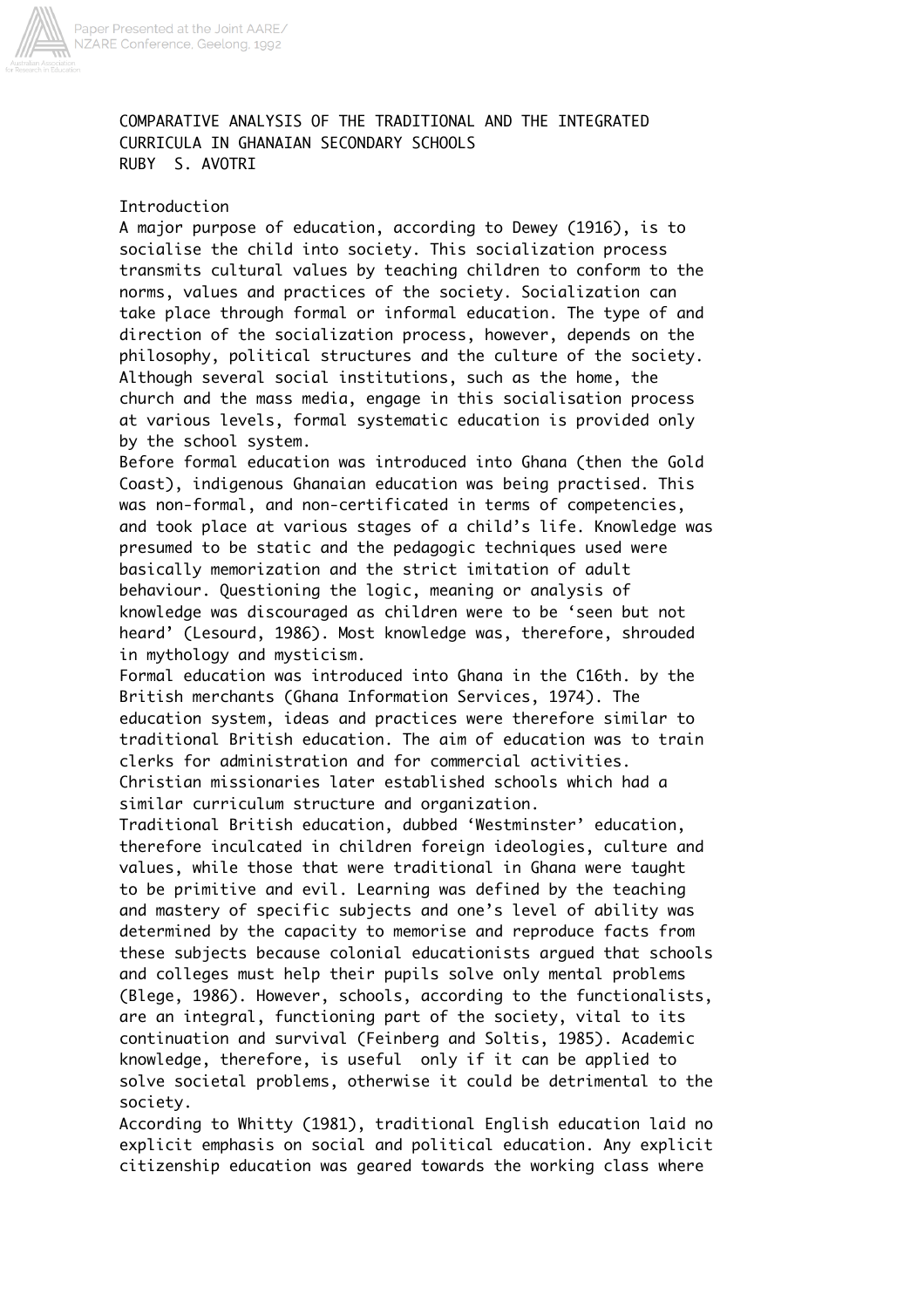

## COMPARATIVE ANALYSIS OF THE TRADITIONAL AND THE INTEGRATED CURRICULA IN GHANAIAN SECONDARY SCHOOLS RUBY S. AVOTRI

## Introduction

A major purpose of education, according to Dewey (1916), is to socialise the child into society. This socialization process transmits cultural values by teaching children to conform to the norms, values and practices of the society. Socialization can take place through formal or informal education. The type of and direction of the socialization process, however, depends on the philosophy, political structures and the culture of the society. Although several social institutions, such as the home, the church and the mass media, engage in this socialisation process at various levels, formal systematic education is provided only by the school system.

Before formal education was introduced into Ghana (then the Gold Coast), indigenous Ghanaian education was being practised. This was non-formal, and non-certificated in terms of competencies, and took place at various stages of a child's life. Knowledge was presumed to be static and the pedagogic techniques used were basically memorization and the strict imitation of adult behaviour. Questioning the logic, meaning or analysis of knowledge was discouraged as children were to be 'seen but not heard' (Lesourd, 1986). Most knowledge was, therefore, shrouded in mythology and mysticism.

Formal education was introduced into Ghana in the C16th. by the British merchants (Ghana Information Services, 1974). The education system, ideas and practices were therefore similar to traditional British education. The aim of education was to train clerks for administration and for commercial activities. Christian missionaries later established schools which had a similar curriculum structure and organization.

Traditional British education, dubbed 'Westminster' education, therefore inculcated in children foreign ideologies, culture and values, while those that were traditional in Ghana were taught to be primitive and evil. Learning was defined by the teaching and mastery of specific subjects and one's level of ability was determined by the capacity to memorise and reproduce facts from these subjects because colonial educationists argued that schools and colleges must help their pupils solve only mental problems (Blege, 1986). However, schools, according to the functionalists, are an integral, functioning part of the society, vital to its continuation and survival (Feinberg and Soltis, 1985). Academic knowledge, therefore, is useful only if it can be applied to solve societal problems, otherwise it could be detrimental to the society.

According to Whitty (1981), traditional English education laid no explicit emphasis on social and political education. Any explicit citizenship education was geared towards the working class where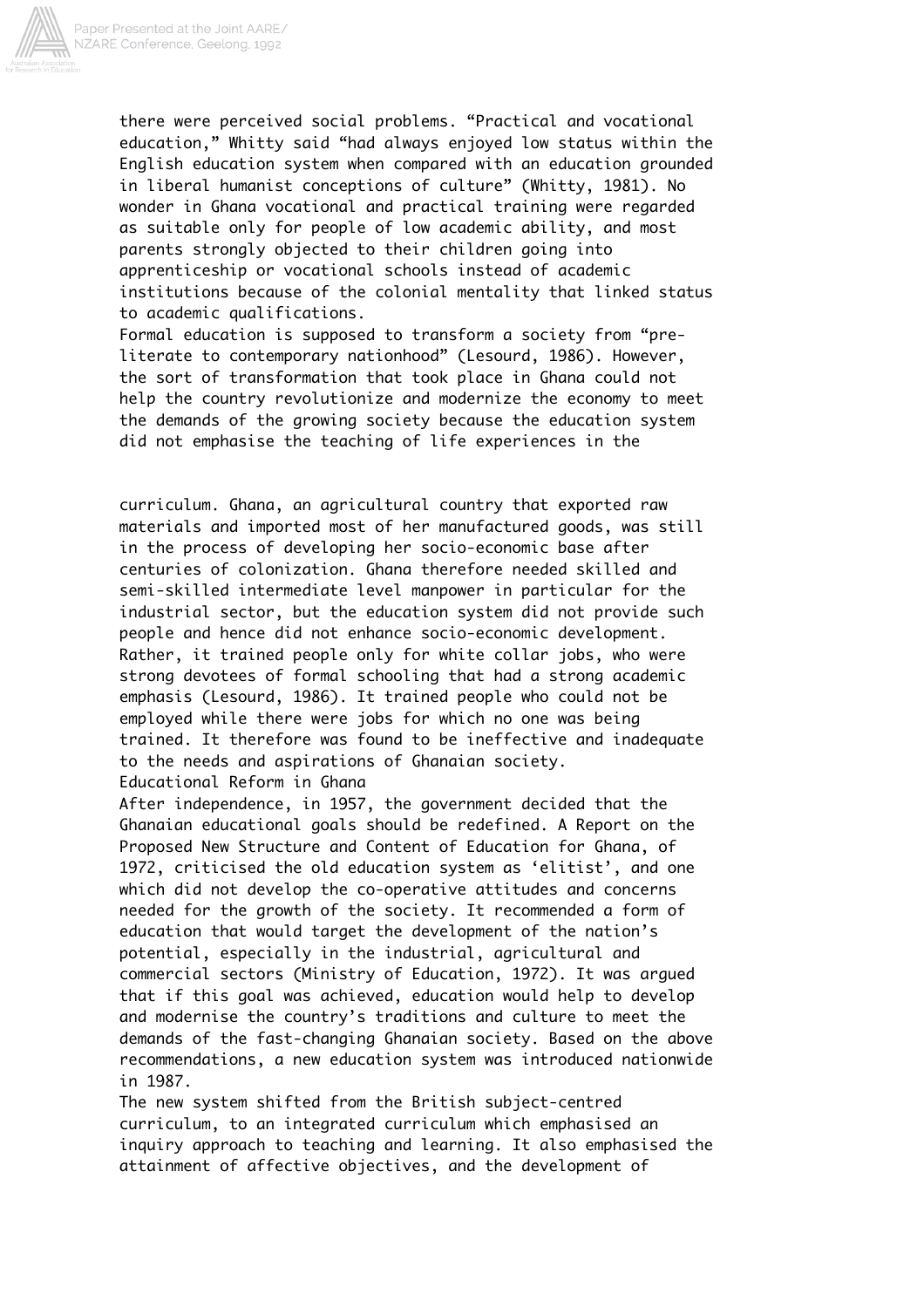

there were perceived social problems. "Practical and vocational education," Whitty said "had always enjoyed low status within the English education system when compared with an education grounded in liberal humanist conceptions of culture" (Whitty, 1981). No wonder in Ghana vocational and practical training were regarded as suitable only for people of low academic ability, and most parents strongly objected to their children going into apprenticeship or vocational schools instead of academic institutions because of the colonial mentality that linked status to academic qualifications.

Formal education is supposed to transform a society from "preliterate to contemporary nationhood" (Lesourd, 1986). However, the sort of transformation that took place in Ghana could not help the country revolutionize and modernize the economy to meet the demands of the growing society because the education system did not emphasise the teaching of life experiences in the

curriculum. Ghana, an agricultural country that exported raw materials and imported most of her manufactured goods, was still in the process of developing her socio-economic base after centuries of colonization. Ghana therefore needed skilled and semi-skilled intermediate level manpower in particular for the industrial sector, but the education system did not provide such people and hence did not enhance socio-economic development. Rather, it trained people only for white collar jobs, who were strong devotees of formal schooling that had a strong academic emphasis (Lesourd, 1986). It trained people who could not be employed while there were jobs for which no one was being trained. It therefore was found to be ineffective and inadequate to the needs and aspirations of Ghanaian society. Educational Reform in Ghana

After independence, in 1957, the government decided that the Ghanaian educational goals should be redefined. A Report on the Proposed New Structure and Content of Education for Ghana, of 1972, criticised the old education system as 'elitist', and one which did not develop the co-operative attitudes and concerns needed for the growth of the society. It recommended a form of education that would target the development of the nation's potential, especially in the industrial, agricultural and commercial sectors (Ministry of Education, 1972). It was argued that if this goal was achieved, education would help to develop and modernise the country's traditions and culture to meet the demands of the fast-changing Ghanaian society. Based on the above recommendations, a new education system was introduced nationwide in 1987.

The new system shifted from the British subject-centred curriculum, to an integrated curriculum which emphasised an inquiry approach to teaching and learning. It also emphasised the attainment of affective objectives, and the development of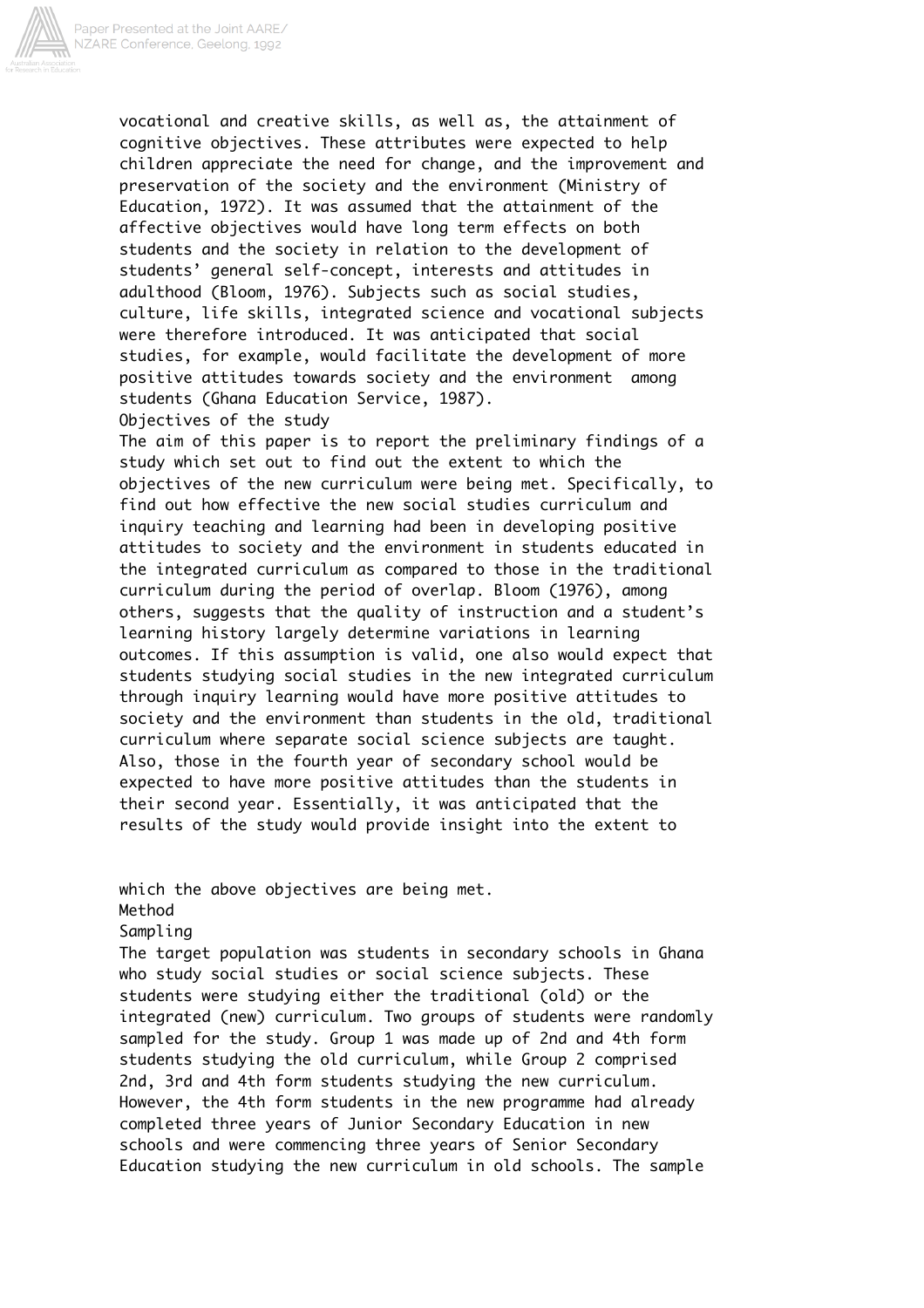

vocational and creative skills, as well as, the attainment of cognitive objectives. These attributes were expected to help children appreciate the need for change, and the improvement and preservation of the society and the environment (Ministry of Education, 1972). It was assumed that the attainment of the affective objectives would have long term effects on both students and the society in relation to the development of students' general self-concept, interests and attitudes in adulthood (Bloom, 1976). Subjects such as social studies, culture, life skills, integrated science and vocational subjects were therefore introduced. It was anticipated that social studies, for example, would facilitate the development of more positive attitudes towards society and the environment among students (Ghana Education Service, 1987). Objectives of the study

The aim of this paper is to report the preliminary findings of a study which set out to find out the extent to which the objectives of the new curriculum were being met. Specifically, to find out how effective the new social studies curriculum and inquiry teaching and learning had been in developing positive attitudes to society and the environment in students educated in the integrated curriculum as compared to those in the traditional curriculum during the period of overlap. Bloom (1976), among others, suggests that the quality of instruction and a student's learning history largely determine variations in learning outcomes. If this assumption is valid, one also would expect that students studying social studies in the new integrated curriculum through inquiry learning would have more positive attitudes to society and the environment than students in the old, traditional curriculum where separate social science subjects are taught. Also, those in the fourth year of secondary school would be expected to have more positive attitudes than the students in their second year. Essentially, it was anticipated that the results of the study would provide insight into the extent to

which the above objectives are being met. Method Sampling The target population was students in secondary schools in Ghana

who study social studies or social science subjects. These students were studying either the traditional (old) or the integrated (new) curriculum. Two groups of students were randomly sampled for the study. Group 1 was made up of 2nd and 4th form students studying the old curriculum, while Group 2 comprised 2nd, 3rd and 4th form students studying the new curriculum. However, the 4th form students in the new programme had already completed three years of Junior Secondary Education in new schools and were commencing three years of Senior Secondary Education studying the new curriculum in old schools. The sample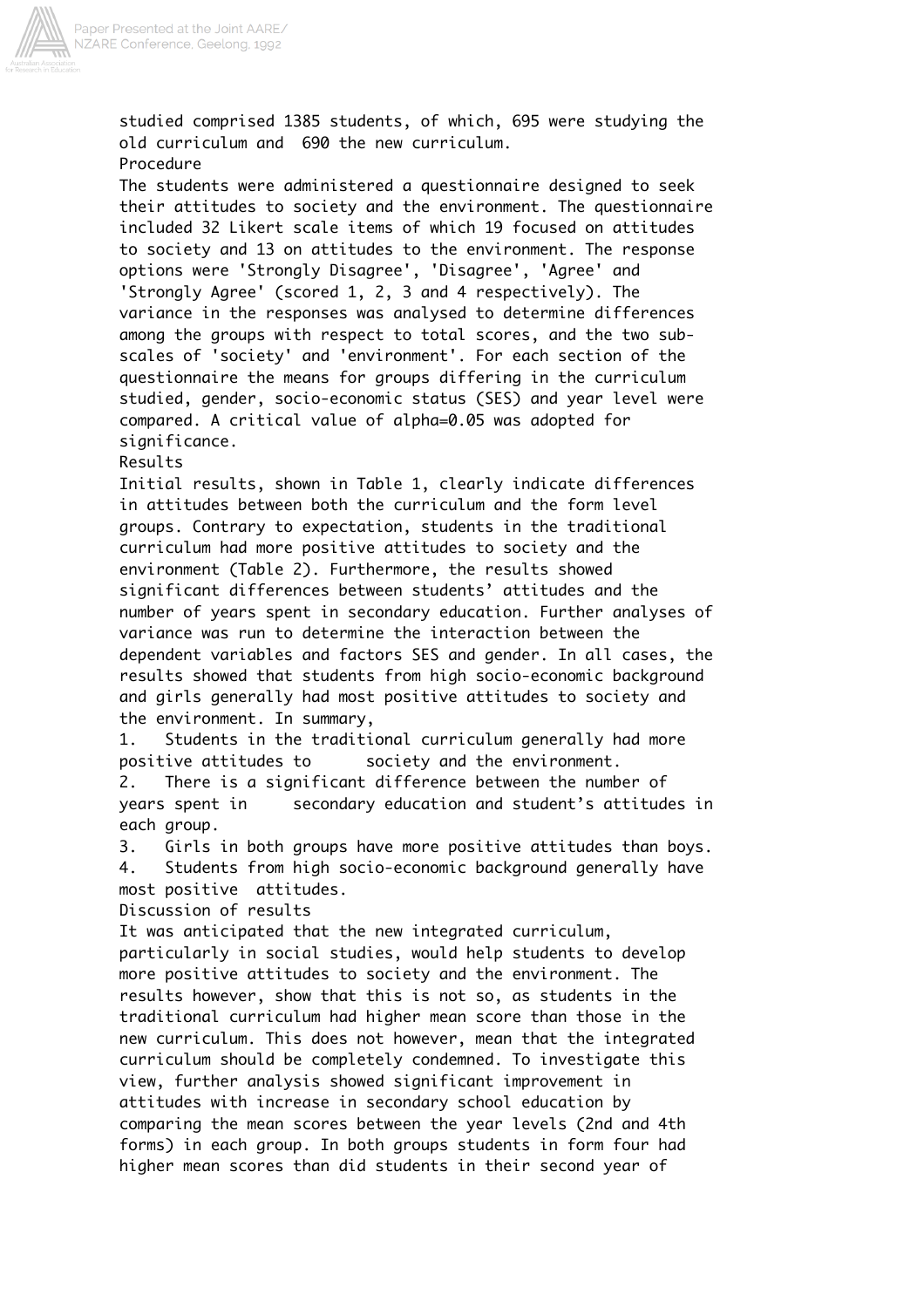

studied comprised 1385 students, of which, 695 were studying the old curriculum and 690 the new curriculum. Procedure The students were administered a questionnaire designed to seek their attitudes to society and the environment. The questionnaire included 32 Likert scale items of which 19 focused on attitudes to society and 13 on attitudes to the environment. The response options were 'Strongly Disagree', 'Disagree', 'Agree' and 'Strongly Agree' (scored 1, 2, 3 and 4 respectively). The variance in the responses was analysed to determine differences among the groups with respect to total scores, and the two subscales of 'society' and 'environment'. For each section of the questionnaire the means for groups differing in the curriculum studied, gender, socio-economic status (SES) and year level were compared. A critical value of alpha=0.05 was adopted for significance. Results Initial results, shown in Table 1, clearly indicate differences in attitudes between both the curriculum and the form level groups. Contrary to expectation, students in the traditional curriculum had more positive attitudes to society and the environment (Table 2). Furthermore, the results showed significant differences between students' attitudes and the number of years spent in secondary education. Further analyses of variance was run to determine the interaction between the dependent variables and factors SES and gender. In all cases, the

results showed that students from high socio-economic background and girls generally had most positive attitudes to society and the environment. In summary,

1. Students in the traditional curriculum generally had more positive attitudes to society and the environment.

2. There is a significant difference between the number of years spent in secondary education and student's attitudes in each group.

3. Girls in both groups have more positive attitudes than boys. 4. Students from high socio-economic background generally have most positive attitudes.

Discussion of results

It was anticipated that the new integrated curriculum, particularly in social studies, would help students to develop more positive attitudes to society and the environment. The results however, show that this is not so, as students in the traditional curriculum had higher mean score than those in the new curriculum. This does not however, mean that the integrated curriculum should be completely condemned. To investigate this view, further analysis showed significant improvement in attitudes with increase in secondary school education by comparing the mean scores between the year levels (2nd and 4th forms) in each group. In both groups students in form four had higher mean scores than did students in their second year of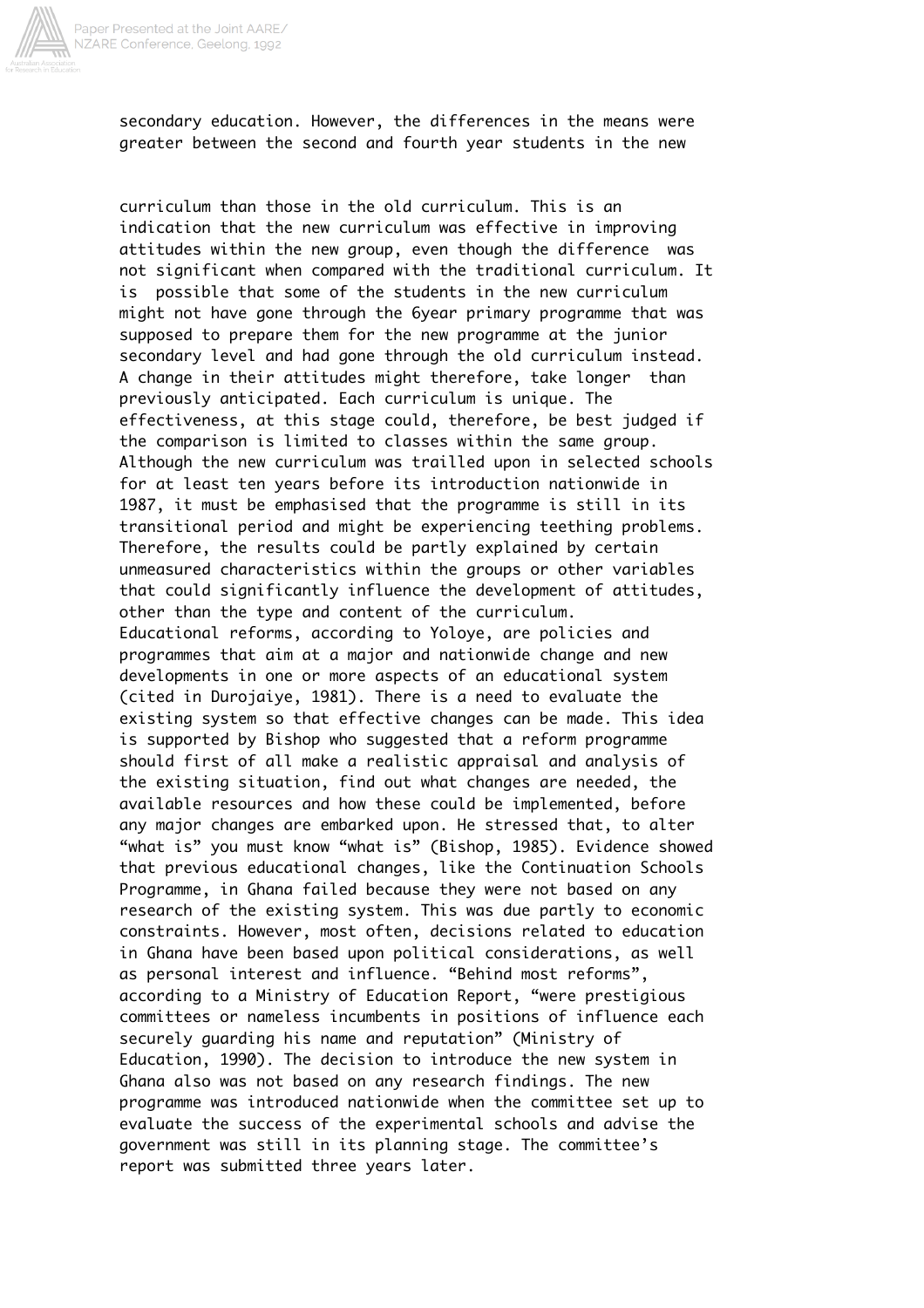

secondary education. However, the differences in the means were greater between the second and fourth year students in the new

curriculum than those in the old curriculum. This is an indication that the new curriculum was effective in improving attitudes within the new group, even though the difference was not significant when compared with the traditional curriculum. It is possible that some of the students in the new curriculum might not have gone through the 6year primary programme that was supposed to prepare them for the new programme at the junior secondary level and had gone through the old curriculum instead. A change in their attitudes might therefore, take longer than previously anticipated. Each curriculum is unique. The effectiveness, at this stage could, therefore, be best judged if the comparison is limited to classes within the same group. Although the new curriculum was trailled upon in selected schools for at least ten years before its introduction nationwide in 1987, it must be emphasised that the programme is still in its transitional period and might be experiencing teething problems. Therefore, the results could be partly explained by certain unmeasured characteristics within the groups or other variables that could significantly influence the development of attitudes, other than the type and content of the curriculum. Educational reforms, according to Yoloye, are policies and programmes that aim at a major and nationwide change and new developments in one or more aspects of an educational system (cited in Durojaiye, 1981). There is a need to evaluate the existing system so that effective changes can be made. This idea is supported by Bishop who suggested that a reform programme should first of all make a realistic appraisal and analysis of the existing situation, find out what changes are needed, the available resources and how these could be implemented, before any major changes are embarked upon. He stressed that, to alter "what is" you must know "what is" (Bishop, 1985). Evidence showed that previous educational changes, like the Continuation Schools Programme, in Ghana failed because they were not based on any research of the existing system. This was due partly to economic constraints. However, most often, decisions related to education in Ghana have been based upon political considerations, as well as personal interest and influence. "Behind most reforms", according to a Ministry of Education Report, "were prestigious committees or nameless incumbents in positions of influence each securely guarding his name and reputation" (Ministry of Education, 1990). The decision to introduce the new system in Ghana also was not based on any research findings. The new programme was introduced nationwide when the committee set up to evaluate the success of the experimental schools and advise the government was still in its planning stage. The committee's report was submitted three years later.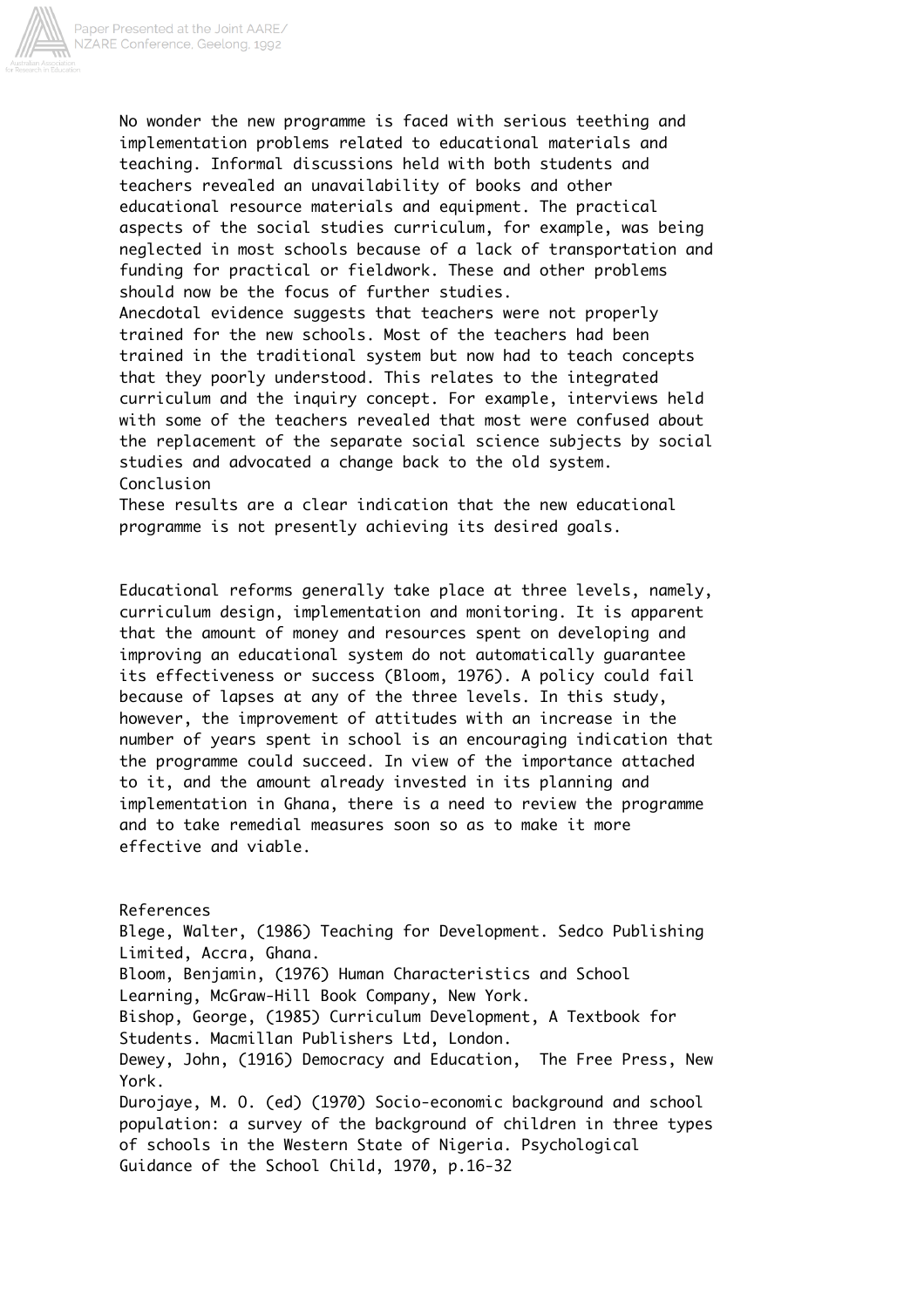

No wonder the new programme is faced with serious teething and implementation problems related to educational materials and teaching. Informal discussions held with both students and teachers revealed an unavailability of books and other educational resource materials and equipment. The practical aspects of the social studies curriculum, for example, was being neglected in most schools because of a lack of transportation and funding for practical or fieldwork. These and other problems should now be the focus of further studies.

Anecdotal evidence suggests that teachers were not properly trained for the new schools. Most of the teachers had been trained in the traditional system but now had to teach concepts that they poorly understood. This relates to the integrated curriculum and the inquiry concept. For example, interviews held with some of the teachers revealed that most were confused about the replacement of the separate social science subjects by social studies and advocated a change back to the old system. Conclusion

These results are a clear indication that the new educational programme is not presently achieving its desired goals.

Educational reforms generally take place at three levels, namely, curriculum design, implementation and monitoring. It is apparent that the amount of money and resources spent on developing and improving an educational system do not automatically guarantee its effectiveness or success (Bloom, 1976). A policy could fail because of lapses at any of the three levels. In this study, however, the improvement of attitudes with an increase in the number of years spent in school is an encouraging indication that the programme could succeed. In view of the importance attached to it, and the amount already invested in its planning and implementation in Ghana, there is a need to review the programme and to take remedial measures soon so as to make it more effective and viable.

References Blege, Walter, (1986) Teaching for Development. Sedco Publishing Limited, Accra, Ghana. Bloom, Benjamin, (1976) Human Characteristics and School Learning, McGraw-Hill Book Company, New York. Bishop, George, (1985) Curriculum Development, A Textbook for Students. Macmillan Publishers Ltd, London. Dewey, John, (1916) Democracy and Education, The Free Press, New York. Durojaye, M. O. (ed) (1970) Socio-economic background and school population: a survey of the background of children in three types of schools in the Western State of Nigeria. Psychological Guidance of the School Child, 1970, p.16-32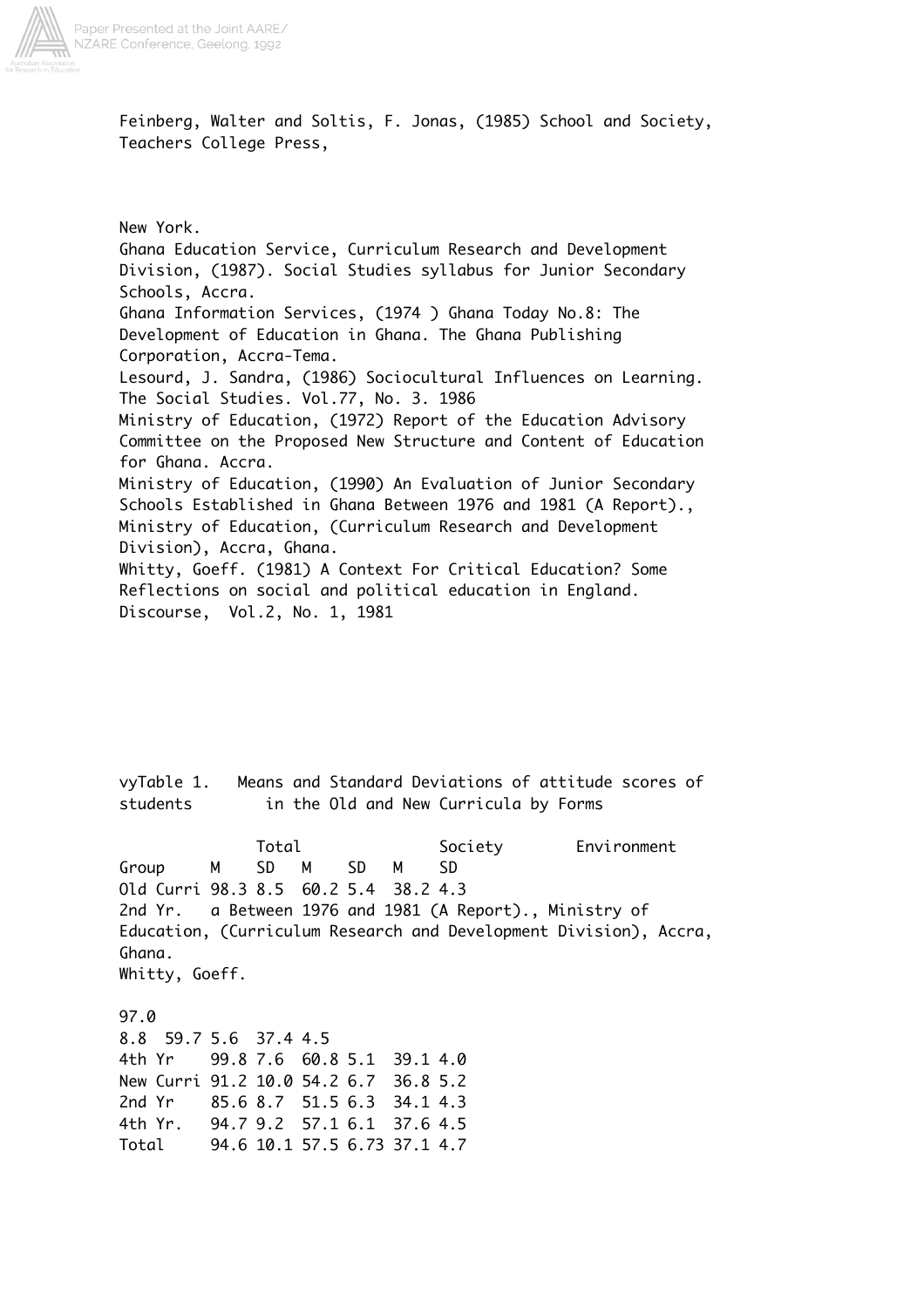

Feinberg, Walter and Soltis, F. Jonas, (1985) School and Society, Teachers College Press,

New York. Ghana Education Service, Curriculum Research and Development Division, (1987). Social Studies syllabus for Junior Secondary Schools, Accra. Ghana Information Services, (1974 ) Ghana Today No.8: The Development of Education in Ghana. The Ghana Publishing Corporation, Accra-Tema. Lesourd, J. Sandra, (1986) Sociocultural Influences on Learning. The Social Studies. Vol.77, No. 3. 1986 Ministry of Education, (1972) Report of the Education Advisory Committee on the Proposed New Structure and Content of Education for Ghana. Accra. Ministry of Education, (1990) An Evaluation of Junior Secondary Schools Established in Ghana Between 1976 and 1981 (A Report)., Ministry of Education, (Curriculum Research and Development Division), Accra, Ghana. Whitty, Goeff. (1981) A Context For Critical Education? Some Reflections on social and political education in England. Discourse, Vol.2, No. 1, 1981

vyTable 1. Means and Standard Deviations of attitude scores of students in the Old and New Curricula by Forms Total Society Environment Group M SD M SD M SD Old Curri 98.3 8.5 60.2 5.4 38.2 4.3 2nd Yr. a Between 1976 and 1981 (A Report)., Ministry of Education, (Curriculum Research and Development Division), Accra, Ghana. Whitty, Goeff. 97.0 8.8 59.7 5.6 37.4 4.5 4th Yr 99.8 7.6 60.8 5.1 39.1 4.0 New Curri 91.2 10.0 54.2 6.7 36.8 5.2 2nd Yr 85.6 8.7 51.5 6.3 34.1 4.3 4th Yr. 94.7 9.2 57.1 6.1 37.6 4.5 Total 94.6 10.1 57.5 6.73 37.1 4.7